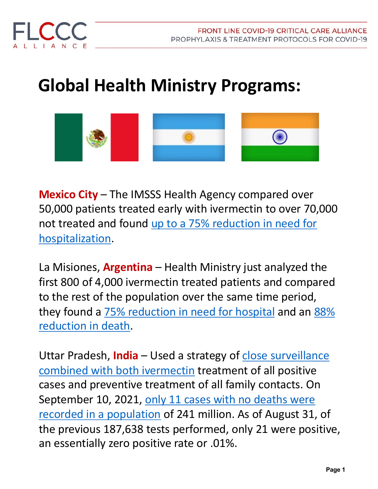

## **Global Health Ministry Programs:**



**Mexico City** – The IMSSS Health Agency compared over 50,000 patients treated early with ivermectin to over 70,000 [not treated and found up to a 75% reduction in need for](https://osf.io/preprints/socarxiv/r93g4/)  hospitalization.

La Misiones, **Argentina** – Health Ministry just analyzed the first 800 of 4,000 ivermectin treated patients and compared to the rest of the population over the same time period, [they found a 75% reduction in need for hospital](http://www.pagina16.com.ar/ivermectina-brindan-resultados-parciales-de-monitoreo-en-el-uso-ampliado-en-pacientes-positivos/) and an 88% reduction in death.

Uttar Pradesh, **India** - Used a strategy of close surveillance combined with both ivermectin treatment of all positive cases and preventive treatment of all family contacts. On [September 10, 2021, only 11 cases with no deaths were](https://trialsitenews.com/msn-showcases-the-amazing-uttar-pradesh-turnaround-the-ivermectin-based-home-medicine-kits/?utm_source=Contextly&utm_medium=ChannelEmail&utm_campaign=Ivermectin&utm_content=Notification)  recorded in a population of 241 million. As of August 31, of the previous 187,638 tests performed, only 21 were positive, an essentially zero positive rate or .01%.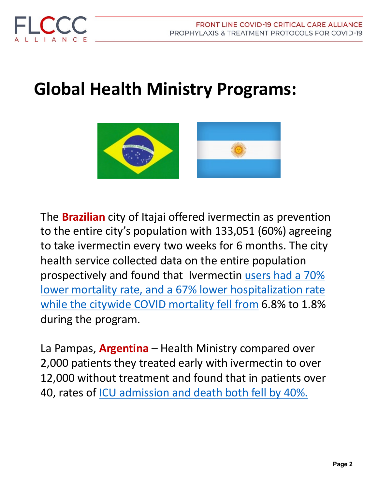



## **Global Health Ministry Programs:**



The **Brazilian** city of Itajai offered ivermectin as prevention to the entire city's population with 133,051 (60%) agreeing to take ivermectin every two weeks for 6 months. The city health service collected data on the entire population prospectively and found that Ivermectin users had a 70% [lower mortality rate, and a 67% lower hospitalization rate](https://www.cureus.com/articles/82162-ivermectin-prophylaxis-used-for-covid-19-a-citywide-prospective-observational-study-of-223128-subjects-using-propensity-score-matching)  while the citywide COVID mortality fell from 6.8% to 1.8% during the program.

La Pampas, **Argentina** – Health Ministry compared over 2,000 patients they treated early with ivermectin to over 12,000 without treatment and found that in patients over 40, rates of [ICU admission and death both fell by 40%.](https://zenodo.org/record/5525362)